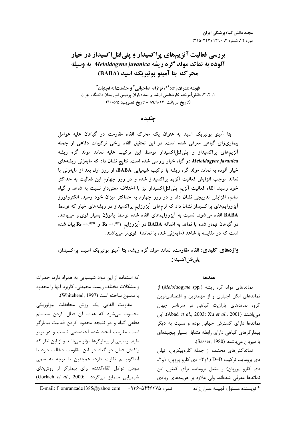# بررسی فعالیت آنزیمهای پراکسیداز و پلےفنلاکسیداز در خیار آلوده به نماتد مولد گره ریشه Meloidogyne javanica به وسیله محرك بتا آمينو بوتيريك اسيد (BABA)

فهيمه عمرانزاده<sup>41</sup>، نوازاله صاحباني<sup>1</sup> و حشمتاله امينيان<sup>1</sup> ۱، ۲، ۳، دانش آموخته کارشناسی ارشد و استادیاران پردیس ابوریحان دانشگاه تهران (تاريخ دريافت: ۸۹/۹/۱۴ - تاريخ تصويب: ۹۰/۵/۵)

چکیده

بتا آمینو بوتیریک اسید به عنوان یک محرک القاء مقاومت در گیاهان علیه عوامل بیماریزای گیاهی معرفی شده است. در این تحقیق القاء برخی ترکیبات دفاعی از جمله آنزیمهای پراکسیداز و پلیفنلاکسیداز توسط این ترکیب علیه نماتد مولد گره ریشه Meloidogyne javanica در گیاه خیار بررسی شده است. نتایج نشان داد که مایهزنی ریشههای خیار آلوده به نماتد مولد گره ریشه با ترکیب شیمیایی BABA، از روز اول بعد از مایهزنی با نماتد موجب افزایش فعالیت آنزیم پراکسیداز شده و در روز چهارم این فعالیت به حداکثر خود رسید. القاء فعالیت آنزیم پلیفنل|کسیداز نیز با اختلاف معنیدار نسبت به شاهد و گیاه سالم، افزایش تدریجی نشان داد و در روز چهارم به حداکثر میزان خود رسید. الکتروفورز آیزوزایمهای پراکسیداز نشان داد که فرمهای آیزوزایم پراکسیداز در ریشههای خیار که توسط BABA القاء مى شود، نسبت به اَيزوزايمهاى القاء شده توسط پاتوژن بسيار قوىتر مىباشد. در گیاهان تیمار شده با نماتد به اضافه BABA دو آیزوزایم ۱۳۱+= R، =۰/۳۴ بیان شده است که در مقایسه با شاهد (مایهزنی شده با نماتد) قویتر میباشند.

**واژههای کلیدی:** القاء مقاومت، نماتد مولد گره ریشه، بتا آمینو بوتیریک اسید، پراکسیداز، يلى فنل اكسيداز

#### مقدمه

نماتدهای مولد گره ریشه (Meloidogyne spp.) از نماتدهای انگل اجباری و از مهمترین و اقتصادیترین گروه نماتدهای پارازیت گیاهی در سرتاسر جهان میباشند (Abad et al., 2003; Xu et al., 2001). این نماتدها دارای گسترش جهانی بوده و نسبت به دیگر بیمار گرهای گیاهی دارای رابطه متقابل بسیار پیچیدهای با ميزبان ميباشند (Sasser, 1980).

نماتدکشهای مختلف از جمله کلروپیکرین، اتیلن دي برومايد، تركيب D-D (١و٣- دي كلرو پروپن: ١و٢ـ دی کلرو پروپان) و متيل برومايد، برای کنترل اين نماتدها معرفی شدهاند. ولی علاوه بر هزینههای زیادی

که استفاده از این مواد شیمیایی به همراه دارد، خطرات و مشكلات مختلف زيست محيطي، كاربرد آنها را محدود يا ممنوع ساخته است (Whitehead, 1997).

مقاومت القايي يک روش محافظت بيولوژيکي محسوب میشود که هدف آن فعال کردن سیستم دفاعی گیاه و در نتیجه محدود کردن فعالیت بیمارگر است، مقاومت ایجاد شده اختصاصی نیست و در برابر طیف وسیعی از بیمارگرها مؤثر میباشد و از این نظر که واكنش فعال در گياه در اين مقاومت دخالت دارد با آنتاگونیسم تفاوت دارد، همچنین با توجه به سمی نبودن عوامل القاءكننده براى بيماركر از روشهاى نشیمیایی متمایز میگردد (Gorlach et al., 2000;

\* نويسنده مسئول: فهيمه عمرانزاده

E-mail: f\_omranzade1385@yahoo.com • ٩٣۶-٥۴۴۶٢٧۵ : تلفن: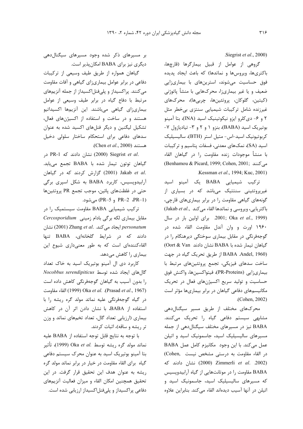Siegrist et al., 2000).

گروهی از عوامل از قبیل بیمارگرها (قارچها، باکتریها، ویروسها و نماتدها) که باعث ایجاد پدیده فوق حساسیت می شوند، استرینهای با بیماریزایی ضعیف و یا غیر بیماریزا، محرکهایی با منشأ پاتوژنی (کیتین، گلوکان، پروتئینها، چربیها)، محرکهای غیرزنده شامل ترکیبات شیمیایی سنتزی بی خطر مثل ۲ و ۶- دیکلرو ایزو نیکوتینیک اسید (INA)، بتا آمینو بوتیریک اسید (BABA)، بنزو ۱ و ۲ و ۳- تیادیازول ۷-کربوتیونیک اسید-اس- متیل استر (BTH)، سالیسیلیک اسید (SA)، نمکهای معدنی، فسفات پتاسیم و ترکیبات با منشأ موجودات زنده مقاومت را در گیاهان القاء (Benhamou & Picard, 1999; Cohen, 2001; میں کنند Kessman et al., 1994; Kuc, 2001).

ترکیب شیمیایی BABA یک آمینو اسید غیرپروتئینی سنتتیک میباشد که در بسیاری از گونههای گیاهی مقاومت را در برابر بیماریهای قارچی، باكتريايي، ويروسي و نماتدها القاء مي كند ,.Jakab et al 2001; Oka et al., 1999) برای اولین بار در سال ۱۹۶۰ اورت و وان آندل مقاومت القاء شده در گوجهفرنگی در مقابل بیماری سوختگی دیرهنگام را در گیاهان تیمار شده با BABA نشان دادند Oort & Van) BABA Andel, 1960) از طريق تحريک گياه در جهت ساخت سدهای فیزیکی، تجمع پروتئینهای مرتبط با بيماريزايي (PR-Proteins)، فيتواكسينها، واكنش فوق حساسیت و تولید سریع اکسیژنهای فعال در تحریک مکانیسمهای دفاعی گیاهان در برابر بیماریها مؤثر است .(Cohen, 2002)

محرکهای مختلف از طریق مسیر سیگنالدهی مشابهی سیستم دفاعی گیاه را تحریک میکنند. BABA نیز در مسیرهای مختلف سیگنال دهی از جمله مسیرهای سالیسیلیک اسید، جاسمونیک اسید و اتیلن عمل می کند. با این وجود مکانیزم کامل عمل BABA در القاء مقاومت به درستی مشخص نیست (Cohen, (2002) Zimmerli et al. 2002) نشان دادند که BABA مقاومت را در موتانتهایی از گیاه آرابیدوپسیس که مسیرهای سالیسیلیک اسید، جاسمونیک اسید و اتیلن در آنها آسیب دیدهاند القاء میکند. بنابراین علاوه

بر مسیرهای ذکر شده وجود مسیرهای سیگنالدهی دیگری نیز برای BABA امکان پذیر است.

گیاهان همواره از طریق طیف وسیعی از ترکیبات دفاعی در برابر عوامل بیماریزای گیاهی و آفات مقاومت می کنند. پراکسیداز و پلیفنلاکسیداز از جمله آنزیمهای مرتبط با دفاع گیاه در برابر طیف وسیعی از عوامل بیماریزای گیاهی میباشند. این آنزیمها اکسیداتیو هستند و در ساخت و استفاده از اکسیژنهای فعال، تشکیل لیگنین و دیگر فنلهای اکسید شده به عنوان سدهای دفاعی برای استحکام ساختار سلولی دخیل هستند (Chen et al., 2000).

.PR-1 در 2000) نشان دادند که PR-1 در گیاهان توتون تیمار شده با BABA تجمع مییابد. .2001) Jakab et al (2001) گزارش کردند که در گیاهان آرابیدوپسیس، کاربرد BABA به شکل اسپری برگی حتى در غلظتهاى پائين، موجب تجمع PR پروتئينها (PR−5 pR−2 *R*−1 و PR−5) مے شود.

ترکیب شیمیایی BABA مقاومت سیستمیک را در مقابل بیماری لکه برگی بادام زمینی Cercosporidium i personatum ایجاد می کند. .Zhang et al (2001) نشان دادند که در شرایط گلخانهای، BABA تنها القاءکنندهای است که به طور معنیداری شیوع این بیماری را کاهش میدهد.

کاربرد دی ال آمینو بوتیریک اسید به خاک تعداد Mocobbus serendipiticus توسط Nocobbus serendipiticus را بدون آسیب به گیاهان گوجهفرنگی کاهش داده است (Prasad et al., 1967). Oka et al. (Prasad et al., 1967) در گیاه گوجهفرنگی علیه نماتد مولد گره ریشه را با استفاده از BABA، با نشان دادن اثر آن در کاهش بیماری (ارزیابی تعداد گال، تعداد تخمهای نماتد و وزن تر ریشه و ساقه)، اثبات کردند.

با توجه به نتايج قابل توجه استفاده از BABA عليه نماتد مولد گره ريشه توسط .Oka et al (1999)، تأثير بتا آمینو بوتیریک اسید به عنوان محرک سیستم دفاعی گیاه برای القاء مقاومت در خیار در برابر نماتد مولد گره ریشه به عنوان هدف این تحقیق قرار گرفت. در این تحقيق همچنين امكان القاء و ميزان فعاليت آنزيمهاى دفاعی پراکسیداز و پلے فنل|کسیداز ارزیابی شده است.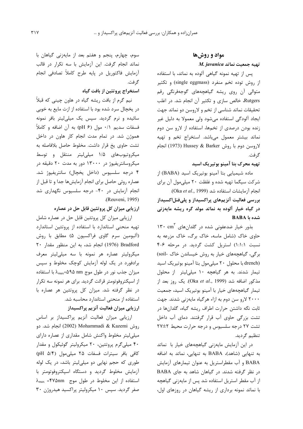#### مواد و روشها

### $M.$  javanica تهيه جمعيت نماتد

پس از تهیه نمونه گیاهی آلوده به نماتد، با استفاده از روش توده تخم منفرد (single eggmass) و تكثير متوالی آن روی ریشه گیاهچههای گوجهفرنگی رقم Rutgers، خالص سازی و تکثیر آن انجام شد. در اغلب تحقیقات نماتد شناسی از تخم و لاروسن دو نماتد جهت ایجاد آلودگی استفاده میشود ولی معمولا به دلیل غیر زنده بودن درصدی از تخمها، استفاده از لارو سن دوم نماتد بيشتر معمول مى باشد. استخراج تخم و تهيه لاروسن دوم با روش Hussey & Barker (1973) انجام گ فت.

### تهيه محرك بتا آمينو بوتيريك اسيد

ماده شیمیایی بتا آمینو بوتیریک اسید (BABA) از شرکت سیگما تهیه شده و غلظت ۲۰ میلی مول آن برای انجام آزمایشات استفاده شد (Oka et al., 1999). بررسی فعالیت آنزیمهای پراکسیداز و پلیفنلاکسیداز

در گیاه خیار آلوده به نماتد مولد گره ریشه مایهزنی شده با BABA

۱۳۰  $\text{cm}^{\text{v}}$  بذور خیار ضدعفونی شده در گلدانهای حاوی خاک (شامل ماسه، خاک برگ، خاک مزرعه به نسبت ١:١:١) استريل كشت گرديد. در مرحله ۶-۴ برگی، گیاهچههای خیار به روش خیساندن خاک -soil) drench) با محلول ٢٠ ميلي مول بتا آمينو بوتيريك اسيد تیمار شدند. به هر گیاهچه ۱۰ میلی لیتر از محلول مذکور اضافه شد (Oka et al., 1999). یک روز بعد از تیمار گیاهچههای خیار با آمینو بوتیریک اسید، جمعیت ۲۰۰۰ لارو سن دوم به ازاء هرگیاه مایهزنی شدند. جهت ثابت نگه داشتن حرارت اطراف ریشه گیاه، گلدانها در تشت بزرگی حاوی آب قرار گرفتند. دمای آب داخل تشت ۲۷ درجه سلسیوس و درجه حرارت محیط ۲۷±۲ تنظیم گردید.

در این آزمایش مایهزنی گیاهچههای خیار با نماتد به تنهایی (شاهد)، BABA به تنهایی، نماتد به اضافه BABA و آب مقطراستریل به عنوان تیمارهای آزمایش در نظر گرفته شدند. در گیاهان شاهد به جای BABA از آب مقطر استریل استفاده شد پس از مایهزنی گیاهچه با نماتد نمونه برداری از ریشه گیاهان در روزهای اول،

سوم، چهارم، پنجم و هفتم بعد از مایهزنی گیاهان با نماتد انجام گرفت. این آزمایش با سه تکرار در قالب آزمایش فاکتوریل در پایه طرح کاملاً تصادفی انجام گر فت.

#### استخراج پروتئین از بافت گیاه

نیم گرم از بافت ریشه گیاه در هاون چینی که قبلاً در يخچال سرد شده بود با استفاده از ازت مايع به خوبي سائیده و نرم گردید. سپس یک میلی لیتر بافر نمونه فسفات سديم ٠/١ مول (pH ۶) به آن اضافه و كاملاً هموژن شد. در تمام مدت انجام کار هاون در داخل تشت حاوی یخ قرار داشت. مخلوط حاصل بلافاصله به میکروتیوبهای ۱/۵ میلیلیتر منتقل و توسط میکروسانتریفیوژ در ۱۳۰۰۰ دور به مدت ۲۰ دقیقه در ۴ درجه سلسیوس (داخل یخچال) سانتریفیوژ شد. عصاره روئی حاصل برای انجام آزمایشها جدا و تا قبل از انجام آزمایش در ۴۰- درجه سلسیوس نگهداری شد .(Reuveni, 1995)

# ارزیابی میزان کل پروتئین قابل حل در عصاره

ارزیابی میزان کل پروتئین قابل حل در عصاره شامل تهیه منحنی استاندارد با استفاده از پروتئین استاندارد (اَلبومین سرم گاوی فراکسیون ۵) مطابق با روش Bradford (1976) انجام شد، به این منظور مقدار ٢٠ میکرولیتر عصاره هر نمونه با سه میلی لیتر معرف برادفورد در یک لوله آزمایش کوچک مخلوط و سپس میزان جذب نور در طول موج Amax=۵۹۵ nm با استفاده از اسیکتروفوتومتر قرائت گردید. برای هر نمونه سه تکرار در نظر گرفته شد. میزان کل پروتئین هر عصاره با استفاده از منحنی استاندارد محاسبه شد.

### ارزيابي ميزان فعاليت آنزيم پراكسيداز

ارزیابی میزان فعالیت آنزیم پراکسیداز بر اساس روش Mohammadi & Kazemi (2002) انجام شد. دو میلیلیتر مخلوط واکنش شامل مقداری از عصاره دارای ۴۰ میلیگرم پروتئین، ۲۰ میکرولیتر گوئیکول و مقدار كافى بافر سيترات فسفات ٢۵ ميلي مول (pH ۵/۴) طوری که حجم نهایی دو میلی لیتر باشد، در یک لوله آزمایش مخلوط گردید و دستگاه اسپکتروفوتومتر با  $\lambda_{\text{max}}$  = ۴۷۵nm حر طول موج = ۴۷۵nm صفر گردید. سپس ۱۰ میکرولیتر پراکسید هیدروژن ۳۰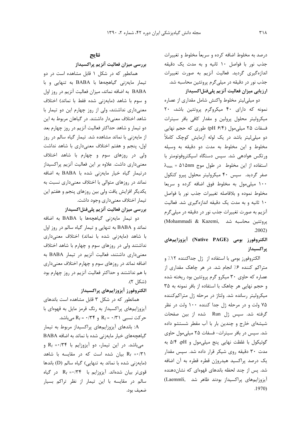درصد به مخلوط اضافه کرده و سریعاً مخلوط و تغییرات جذب نور با فواصل ١٠ ثانيه و به مدت يک دقيقه اندازهگیری گردید. فعالیت آنزیم به صورت تغییرات جذب نور در دقیقه در میلیگرم پروتئین محاسبه شد. ارزيابي ميزان فعاليت آنزيم پليفنلاكسيداز

دو میلیلیتر مخلوط واکنش شامل مقداری از عصاره نمونه که دارای ۴۰ میکروگرم پروتئین باشد، ۲۰ میکرولیتر محلول پرولین و مقدار کافی بافر سیترات فسفات ۲۵ میلی مول (pH ۶/۴) طوری که حجم نهایی دو میلی لیتر باشد در یک لوله آزمایش کوچک کاملاً مخلوط و این مخلوط به مدت دو دقیقه به وسیله ورتکس هوادهی شد. سپس دستگاه اسپکتروفوتومتر با  $\lambda_{\text{max}} = \Delta \lambda \Delta n m$  استفاده از این مخلوط در طول موج صفر گردید. سپس ۴۰ میکرولیتر محلول پیرو کتکول ۱۰۰ میلی مول به مخلوط فوق اضافه کرده و سریعا مخلوط نموده وبلافاصله تغييرات جذب نوربا فواصل ۱۰ ثانیه و به مدت یک دقیقه اندازهگیری شد. فعالیت آنزیم به صورت تغییرات جذب نور در دقیقه در میلی گرم يروتئين محاسبه شد ,Mohammadi & Kazemi  $.2002)$ 

# الكتروفورز بومي (Native PAGE) آيزوزايمهاي پراکسیداز

الكتروفورز بومي با استفاده از ژل جداكننده ١٢٪ و متراکم کننده ۶٪ انجام شد. در هر چاهک مقداری از عصاره که حاوی ۳۰ میکرو گرم پروتئین بود ریخته شده و حجم نهایی هر چاهک با استفاده از بافر نمونه به ۳۵ میکرولیتر رسانده شد. ولتاژ در مرحله ژل متراکمکننده ۷۵ ولت و در مرحله ژل جدا کننده ۱۰۰ ولت در نظر گرفته شد. سپس ژل Run شده از بین صفحات شیشهای خارج و چندین بار با آب مقطر شستشو داده شد. سپس در بافر سیترات- فسفات ۲۵ میلی مول حاوی گوئیکول با غلظت نهایی پنج میلی مول و pH، ۵/۴ به مدت ۳۰ دقیقه روی شیکر قرار داده شد. سپس مقدار یک درصد پراکسید هیدروژن قطره قطره به آن اضافه شد. پس از چند لحظه باندهای قهوهای که نشاندهنده آیزوزایمهای پراکسیداز بودند ظاهر شد .(Laemmli  $.1970)$ 

#### نتايج

بررسي ميزان فعاليت آنزيم پراكسيداز

همانطور که در شکل ۱ قابل مشاهده است در دو تیمار مایهزنی گیاهچهها با BABA به تنهایی و با BABA به اضافه نماتد، میزان فعالیت آنزیم در روز اول و سوم با شاهد (مايهزني شده فقط با نماتد) اختلاف معنیداری نداشتند، ولی از روز چهارم این دو تیمار با شاهد اختلاف معنیدار داشتند. در گیاهان مربوط به این دو تیمار و شاهد حداکثر فعالیت آنزیم در روز چهارم بعد از مایهزنی با نماتد مشاهده شد. تیمار گیاه سالم در روز اول، پنجم و هفتم اختلاف معنىدارى با شاهد نداشت ولی در روزهای سوم و چهارم با شاهد اختلاف معنیداری داشت. علاوه بر این فعالیت آنزیم پراکسیداز درتیمار گیاه خیار مایهزنی شده با BABA به اضافه نماتد در روزهای متوالی با اختلاف معنیداری نسبت به يكديگر افزايش يافت ولي بين روزهاي پنجم و هفتم اين تيمار اختلاف معنىدارى وجود داشت.

### بررسي ميزان فعاليت آنزيم پليفنلاكسيداز

دو تيمار مايهزنى گياهچهها با BABA به اضافه نماتد و BABA به تنهایی و تیمار گیاه سالم در روز اول با شاهد (مایهزنی شده با نماتد) اختلاف معنیداری نداشتند ولی در روزهای سوم و چهارم با شاهد اختلاف معنىدارى داشتند، فعاليت آنزيم در تيمار BABA به اضافه نماتد در روزهای سوم و چهارم اختلاف معنیداری با هم نداشتند و حداکثر فعالیت آنزیم در روز چهارم بود (شكل ٢).

### الكتروفورز آيزوزايمهاى پراكسيداز

همانطور که در شکل ۳ قابل مشاهده است باندهای آیزوزایمهای پراکسیداز به رنگ قرمز مایل به قهوهای با 

A: باندهای آیزوزایمهای پراکسیداز مربوط به تیمار گیاهچههای خیار مایهزنی شده با نماتد به اضافه BABA میباشد. در این تیمار، دو آیزوزایم با Rf =  $R_f$  و ایان شده است که در مقایسه با شاهد Rf =  $\cdot$  /۳۱ (مایهزنی شده با نماتد به تنهایی) گیاه سالم (D) باندها قوىتر بيان شدهاند. آيزوزايم با  $R_f = \cdot / 8$  در گياه سالم در مقایسه با این تیمار از نظر تراکم بسیار ضعيف بود.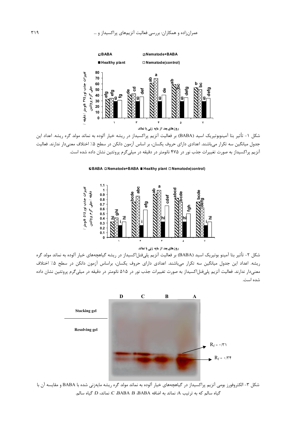

شکل ۱- تأثیر بتا آمینوبوتیریک اسید (BABA) بر فعالیت آنزیم پراکسیداز در ریشه خیار آلوده به نماتد مولد گره ریشه. اعداد این جدول میانگین سه تکرار می باشند. اعدادی دارای حروف یکسان، بر اساس آزمون دانکن در سطح ۵٪ اختلاف معنیدار ندارند. فعالیت آنزیم پراکسیداز به صورت تغییرات جذب نور در ۴۷۵ نانومتر در دقیقه در میلیگرم پروتئین نشان داده شده است.

**EBABA DNematode+BABA ■ Healthy plant DNematode(control)** 



روزهای بعد از مایه زنی با نماتد

شکل ۲- تأثیر بتا آمینو بوتیریک اسید (BABA) بر فعالیت آنزیم پلیفنل|کسیداز در ریشه گیاهچههای خیار آلوده به نماتد مولد گره ریشه. اعداد این جدول میانگین سه تکرار میباشند. اعدادی دارای حروف یکسان، براساس آزمون دانکن در سطح ۰/۵ اختلاف معنیدار ندارند. فعالیت آنزیم پلیفنلاکسیداز به صورت تغییرات جذب نور در ۵۱۵ نانومتر در دقیقه در میلیگرم پروتئین نشان داده شده است.



شکل ۳- الکتروفورز بومی آنزیم پراکسیداز در گیاهچههای خیار آلوده به نماتد مولد گره ریشه مایهزنی شده با BABA و مقایسه آن با گياه سالم كه به ترتيب A: نماتد به اضافه BABA B ،BABA .B : نماتد، D: گياه سالم.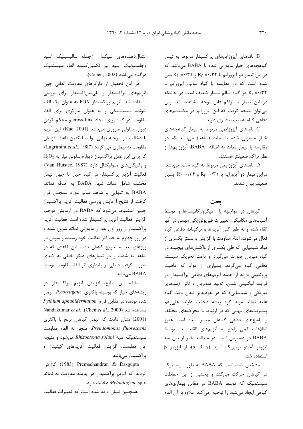B: باندهای آیزوزایمهای پراکسیداز مربوط به تیمار گیاهچههای خیار مایهزنی شده با BABA میباشد که  $R_f = \cdot / 7$ ۰ و  $R_f = \cdot / 77$  و  $R_f = R_f$  بيان شده است که در مقایسه با گیاه سالم، آیزوزایم با  $R_f = \cdot$ ۲۴ در گیاه سالم بسیار ضعیف است در حالیکه در این تیمار با تراکم قابل توجه مشاهده شد. پس می توان نتیجه گرفت که این آیزوزایم در مکانیسمهای دفاعی گیاه اهمیت بیشتری دارند.

C: باندهای آیزوزایمی مربوط به تیمار گیاهچههای خیا<sub>د</sub> مایهزنی شده با نماتد (شاهد) میباشد که در مقايسه با تيمار نماتد به اضافه BABA، آيزوزايمها از نظر تراكم ضعيفتر هستند.

D: باندهای آیزوزایمی مربوط به گیاه سالم میباشد.  $R_f = \cdot$  7۴ مراین تیمار دو آیزوزایم با  $R_f = \cdot \cdot R_f$  بسیار ضعيف بيان شدند.

#### ىحث

گیاهان در مواجهه با میکروارگانیسمها و توسط آسیبهای مکانیکی، تغییرات فیزیولوژیکی مهمی در آنها القاء شده و به طور كلي آنزيمها و تركيبات دفاعي گياه فعال می شوند. القاء مقاومت با افزایش و سنتز یکسری از مواد شیمیایی که طی یکسری از واکنشهای پیچیده در گیاه میزبان صورت میگیرد و باعث تحریک سیستم دفاعی گیاه میگردد. بسیاری از مواد که ماهیت پروتئینی دارند از جمله آنزیمهای دفاعی پراکسیداز در فرایند لیگنینی شدن، تولید سوبرین و تانن (سدهای فیزیکی و شیمیایی) که در نفوذیذیر شدن بافت گیاه عليه نماتد مولد گره ريشه دخالت دارند. على رغم پیشرفتهای مهمی که در ارتباط با محرکهای مختلف و پاسخهای دفاعی گیاهان میسر شده است هنوز اطلاعات کمی راجع به آنزیمهای القاء شده توسط BABA در دسترس است. در مطالعه اخیر از بین سه  $\beta$  ایزومر آمینو بوتیریک اسید (α, β, γ)، از ایزومر استفاده شد.

مشخص شده است که BABA به طور سیستمیک در گیاهان حرکت میکند و بخشی از این حفاظت سیستمیک که توسط BABA در مقابل بیماریهای گیاهی ایجاد میشود را توجیه ًمیکند. علاوه بر آن القاء

انتقال دهندههای سیگنال ازجمله سالیسیلیک اسید وجاسمونيك اسيد نيز تكميلكننده القاء سيستميك در گیاه میباشد (Cohen, 2002).

در این تحقیق از مارکرهای مقاومت القائی چون آنزیمهای پراکسیداز و پلیفنلاکسیداز برای بررسی استفاده شد. آنزیم پراکسیداز POX به عنوان یک القاء شونده سیستمیکی و به عنوان مارکری برای القاء مقاومت در گیاه برای ایجاد cross-link و محکم کردن ديواره سلولى ضرورى مى باشد (Kuc, 2001). اين آنزيم با دخالت در مرحله نهایی تولید لیگنین باعث افزایش مقاومت به بیماری می گردد (Lagrimini et al., 1987).  $H_2O_2$  که برای این عمل پراکسیداز دیواره سلولی نیاز به و رادیکال های منولیگنال دارد (Van Huistee, 1987). فعالیت آنزیم پراکسیداز در گیاه خیار با چهار تیمار مختلف شامل نماتد تنها، BABA به اضافه نماتد، BABA به تنهایی و شاهد سالم مورد سنجش قرار گرفت. از نتايج آزمايش بررسي فعاليت آنزيم پراكسيداز چنین استنباط میشود که BABA در آزمایش موجب افزايش فعاليت آنزيم پراكسيداز شده است. فعاليت آنزيم پراکسیداز از روز اول بعد از مایهزنی نماتد شروع شده و در روز چهارم به حداکثر فعالیت خود رسیده و سپس در روزهای بعد به تدریج کاهش یافت. این کاهش که در شاهد به شدت و در تیمارهای دیگر خیلی به کندی صورت گرفت دلیلی بر پایداری اثر القاء مقاومت توسط BABA مے باشد.

مشابه این نتایج، افزایش آنزیم پراکسیداز در ریشههای خیار که بوسیله باکتری P.corrugata تیمار شده بودند، در مقابل قارچ Pythium aphanidermatum Nandakumar et al. (Chen et al., 2000) مشاهده شد (2001) نشان دادند که تیمار گیاهان برنج با باکتری Pseudomonas fluorescens، منجر به القاء مقاومت سیستمیک علیه Rhizoctonia solani می شود و نتیجه این مقاومت، افزایش فعالیت آنزیمهای کیتیناز و پراکسیداز می باشد.

قزارش (1983) Premachandran & Dasgupta کردند که آنزیم پراکسیداز در پدیده مقاومت به نماتد .Aeloidogyne spp دخالت دارد.

همچنین نشان داده شده است که تغییرات فعالیت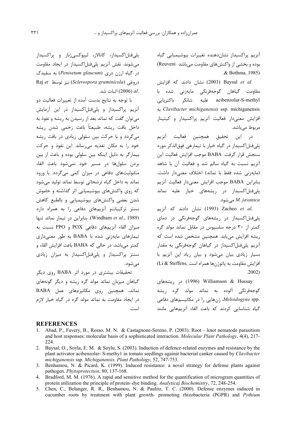آنزیم پراکسیداز نشاندهنده تغییرات بیوشیمیایی گیاه بوده و بخشی از واکنشهای مقاومت می باشد Reuveni) & Bothma, 1985).

.Baysal et al (2003) نشان دادند که افزایش مقاومت گیاهان گوجهفرنگی مایهزنی شده با acibenzolar-S-methyl عليه شانكر باكتريايي Llavibacter michiganensis ssp. michiganensis افزایش معنیدار فعالیت آنزیم پراکسیداز و کیتیناز مربوط مىباشد.

در اين تحقيق همچنين فعاليت آنزيم پلیفنلاکسیداز در گیاه خیار با تیمارهی فوقالذکر مورد سنجش قرار گرفت. BABA موجب افزایش فعالیت این آنزیم نسبت به گیاه سالم شد و فعالیت آن با شاهد (مايەزنى شدە فقط با نماتد) اختلاف معنى دار داشت. بنابراین BABA موجب افزایش معنیدار فعالیت آنزیم پلیفنلاکسیداز در ریشههای خیار علیه نماتد مے شود. M. javanica

.Zacheo et al (1993) 2acheo et al نشان دادند که آنزیم پلې فنل اکسیداز در ریشههای گوجهفرنگی در دمای کمتر از ۳۰ درجه سلسیوس در مقابل نماتد مولد گره ریشه افزایش مییابد. همچنین مشخص شده است که آنزیم پلیفنلاکسیداز در گیاهان گوجهفرنگی به مقدار بسیار زیادی بیان میشود و بیان زیاد این آنزیم با (Li & Steffens, افزایش مقاومت به پاتوژنها همراه است  $.2002)$ 

ر ریشەھای (1996) Williamson & Hussay گوجەفرنگى آلودە بە نماتد مولد گرە ريشە .*Meloidogyne* sppش ژنهایی را در مکانیسمهای دفاعی گیاه شناسایی کردند که باعث القاء آنزیمهایی مانند

ىلى فنل اكسيداز، كاتالاز، لييوكسي ژناز و پراكسيداز می شوند. نقش آنزیم پلی فنل اکسیداز در ایجاد مقاومت در گیاه ارزن دری (Penisetum glaucum) به سفیدک دروغي (Sclerospora graminicola) نيز توسط Raj et .al (2006) اثبات شد.

با توجه به نتايج بدست آمده از تغييرات فعاليت دو آنزیم پراکسیداز و پلیفنل|کسیداز در این آزمایش می توان گفت که نماتد بعد از رسیدن به ریشه و نفوذ به داخل بافت ريشه، طبيعتاً باعث زخمي شدن ريشه می گردد و با حرکت بین سلولی زیادی در بافت ریشه خود را به مكان تغذيه مى رساند. اين نفوذ و حركت بیمارگر به دلیل اینکه بین سلولی بوده و باعث از بین بردن سلولها در مسير خود نمي شود باعث القاء متابولیتهای دفاعی در میزان کمی می گردد. با ورود نماتد به داخل گیاه ترشحاتی توسط نماتد تولید می شود که روی واکنشهای بیوشیمیایی اثر گذاشته و خاموش شدن بعضی واکنشهای بیوشیمیایی و بالطبع کاهش سنتز ترکیباتو آنزیمهای دفاعی را به همراه دارد (Windham et al., 1989). بنابراین در تیمار نماتد تنها ميزان القاء آنزيمهاي دفاعي POX و PPO نسبت به تیمارهای مایهزنی شده با BABA به طور معنیداری كمتر مي باشد. در حالي كه BABA باعث افزايش القاء و سنتز پراکسیداز و پلیفنلاکسیداز به میزان زیادی مىشود.

تحقیقات بیشتری در مورد اثر BABA روی دیگر گیاهان میزبان نماتد مولد گره ریشه و دیگر گونههای نماتد، همچنین <sub>ر</sub>وی مکانیزمهای عمل BABA در ایجاد مقاومت به نماتد مولد گره در گیاه خیار لازم است.

#### **REFERENCES**

- Abad, P., Favery, B., Rosso, M. N. & Castagnone-Sereno, P. (2003). Root knot nematode parasitism and host responses: molecular basis of a sophisticated interaction. Molecular Plant Pathology, 4(4), 217-224.
- 2. Baysal, O., Soyla, E. M. & Soylu, S. (2003). Induction of defence-related enzymes and resistance by the plant activator acibenzolar- S-methy1 in tomato seedlings against bacterial canker caused by Clavibacter michiganensis ssp. Michiganensis. Plant Pathology, 52, 747-753.
- 3. Benhamou, N. & Picard, K. (1999). Induced resistance: a novel strategy for defense plants against pathogen. Phytoprotection, 80, 137-168.
- Bradford, M. M. (1976). A rapid and sensitive method for the quantification of microgram quantities of  $\overline{4}$ protein utilization the principle of protein–dye binding, Analyticaj Biochemistry, 72, 248-254.
- 5. Chen, C., Belanger, R. R., Benhamou, N. & Paulitz, T. C. (2000). Defense enzymes induced in cucumber roots by treatment with plant growth- promoting rhizobacteria (PGPR) and Pythium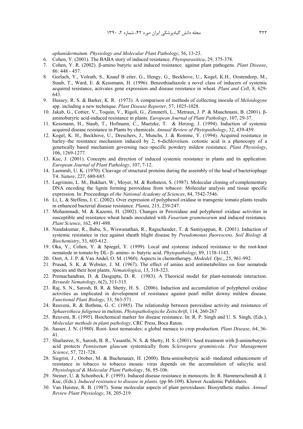*aphanidermatum*. *Physiology and Molecular Plant Pathology*, 56, 13-23.

- 6. Cohen, Y. (2001). The BABA story of induced resistance. *Phytoparasitica*, 29, 375-378.
- 7. Cohen, Y. R. (2002). G-amino butyric acid induced resistance against plant pathogens. *Plant Disease*, 86: 448 - 457.
- 8. Gorlach, Y., Volrath, S., Knauf B eiter, G., Hengy, G., Beckhove, U., Kogel, K.H., Oostendorp, M., Staub, T., Ward, E. & Kessmann, H. (1996). Benzothiadiazole a novel class of inducers of systemic acquired resistance, activates gene expression and disease resistance in wheat. *Plant and Cell*, 8, 629- 643.
- 9. Hussey, R. S. & Barker, K. R. (1973). A comparison of methods of collecting inocula of *Meloidogyne* spp. including a new technique. *Plant Disease Reporter*, 57, 1025-1028.
- 10. Jakab, G., Cottier, V., Toquin, V., Rigoli, G., Zimmerli, L., Metraux, J. P. & Mauchmani, B. (2001). Gaminobutyric acid-induced resistance in plants. *European Journal of Plant Pathology*, 107, 29-37.
- 11. Kessmann, H., Staub, T., Hofmann, C., Maetzke, T. & Herzog, J. (1994). Induction of systemic acquired disease resistance in Plants by chemicals. *Annual Review of Phytopathology*, 32, 439-459.
- 12. Kogel, K. H., Beckhove, U., Dreschers, J., Munchs, J. & Romme, Y. (1994). Acquired resistance in barley–the resistance mechanism induced by 2, 6-dichloveison. cotionic acid is a phenocopy of a genetically based mechanism governing race–specific powdery mildew resistance. *Plant Physiology*, 106, 1269-1277.
- 13. Kuc, J. (2001). Concepts and direction of induced systemic resistance in plants and its application. *European Journal of Plant Pathology*, 107, 7-12.
- 14. Laemmli, U. K. (1970). Cleavage of structural proteins during the assembly of the head of bacteriophage T4. *Nature*, 227, 680-685.
- 15. Lagrimini, L. M., Bukhart, W., Moyer, M. & Rothstein, S. (1987). Molecular cloning of complementary DNA encoding the lignin forming peroxidase from tobacco: Molecular analysis and tissue specific expression. In: Proceedings of *the National Academy of Sciences*, 84, 7542-7546.
- 16. Li, L. & Steffens, J. C. (2002). Over expression of polyphenol oxidase in transgenic tomato plants results in enhanced bacterial disease resistance. *Planta*, 215, 239-247.
- 17. Mohammadi, M. & Kazemi, H. (2002). Changes in Peroxidase and polyphenol oxidase activities in susceptible and resistance wheat heads inoculated with *Fusarium graminearum* and induced resistance. *Plant Science*, 162, 491-498.
- 18. Nandakumar, R., Babu, S., Wiswanathan, R., Raguchander, T. & Samiyappan, R. (2001). Induction of systemic resistance in rice against sheath blight disease by *Pseudomonas fluorescens*. *Soil Biology & Biochemistry*, 33, 603-612.
- 19. Oka, Y., Cohen, Y. & Spiegel, Y. (1999). Local and systemic induced resistance to the root-knot nematode in tomato by DL- G- amino- n- butyric acid. *Phytopathology*, 89, 1138-1143.
- 20. Oort, A. J. P. & Van Andel, O. M. (1960). Aspects in chemotherapy. *Mededel. Opz.*, 25, 961-992.
- 21. Prasad, S. K. & Webster, J. M. (1967). The effect of amino acid antimetabolites on four nematode species and their host plants. *Nematologica*, 13, 318-323.
- 22. Premachandran, D. & Dasgupta, D. R. (1983). A Theorical model for plant-nematode interaction. *Revuede Nematology*, 6(2), 311-315.
- 23. Raj, S. N., Sarosh, B. R. & Shetty, H. S. (2006). Induction and accumulation of polyphenol oxidase activities as implicated in development of resistance against pearl millet downy mildew disease. *Functional Plant Biology*, 33, 563-571.
- 24. Reuveni, R. & Bothma, G. C. (1985). The relationship between peroxidase activity and resistance of *Sphaerotheca fuligenea* in melons. *Phytopathologische Zeitschrift*, 114, 260-267
- 25. Reuveni, R. (1995). Biochemical marker for disease resistance. In: R. P. Singh and U. S. Singh, (Eds.), *Molecular methods in plant pathology*, CRC Press, Boca Raton.
- 26. Sasser, J. N. (1980). Root- knot nematodes: a global menace to crop production. *Plant Disease*, 64, 36- 41.
- 27. Shailasree, S., Sarosh, B. R., Vasanthi, N. S. & Shetty, H. S. (2001). Seed treatment with G-aminobutyric acid protects *Pennisetum glaucum* systemically from *Sclerospora graminicola*. *Pest Management Science*, 57, 721-728.
- 28. Siegrist, J., Orober, M. & Buchenauer, H. (2000). Beta-aminobutyric acid- mediated enhancement of resistance in tobacco to tobacco mosaic virus depends on the accumulation of salicylic acid. *Physiological & Molecular Plant Pathology*, 56, 95-106.
- 29. Steiner, U. & Schonbeck, F. (1995). Induced disease resistance in monocots. In: R. Hammerschmidt & J. Kuc, (Eds.). *Induced resistance to disease in plants*. (pp 86-109). Kluwer Academic Publishers.
- 30. Van Huistee, R. B. (1987). Some molecular aspects of plant peroxidases: Biosynthetic studies. *Annual Review Plant Physiology*, 38, 205-219.